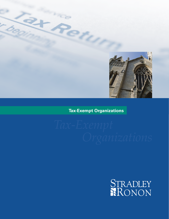

## **Tax-Exempt Organizations**